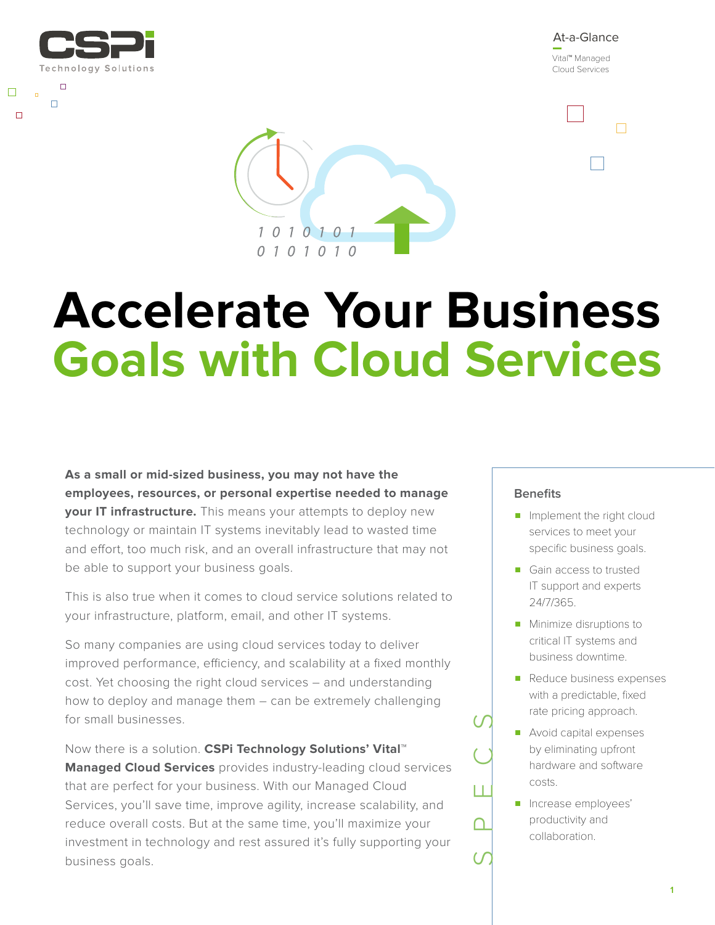

 $\Box$ 

 $\Box$ 

 $\Box$ 

At-a-Glance Vital™ Managed Cloud Services

 $\Box$ 



# **Accelerate Your Business Goals with Cloud Services**

**As a small or mid-sized business, you may not have the employees, resources, or personal expertise needed to manage your IT infrastructure.** This means your attempts to deploy new technology or maintain IT systems inevitably lead to wasted time and effort, too much risk, and an overall infrastructure that may not be able to support your business goals.

This is also true when it comes to cloud service solutions related to your infrastructure, platform, email, and other IT systems.

So many companies are using cloud services today to deliver improved performance, efficiency, and scalability at a fixed monthly cost. Yet choosing the right cloud services – and understanding how to deploy and manage them – can be extremely challenging for small businesses.

Now there is a solution. **CSPi Technology Solutions' Vital™ Managed Cloud Services** provides industry-leading cloud services that are perfect for your business. With our Managed Cloud Services, you'll save time, improve agility, increase scalability, and reduce overall costs. But at the same time, you'll maximize your investment in technology and rest assured it's fully supporting your business goals.

# **Benefits**

- Implement the right cloud services to meet your specific business goals.
- Gain access to trusted IT support and experts 24/7/365.
- Minimize disruptions to critical IT systems and business downtime.
- Reduce business expenses with a predictable, fixed rate pricing approach.
- Avoid capital expenses by eliminating upfront hardware and software costs.
- Increase employees' productivity and collaboration.

SPECS

∩